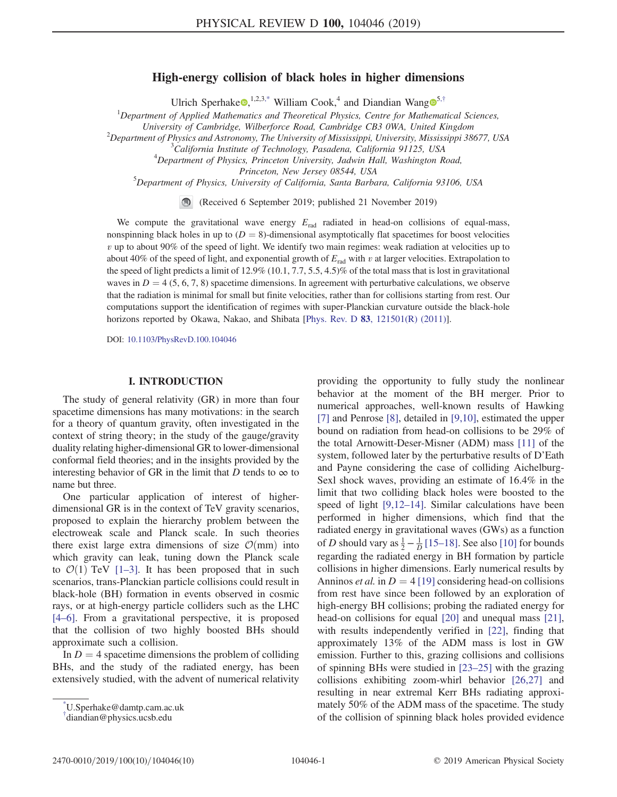# High-energy collision of black holes in higher dimensions

Ulrich Sperhake  $\mathbb{R}^{1,2,3,*}$  $\mathbb{R}^{1,2,3,*}$  $\mathbb{R}^{1,2,3,*}$  William Cook,<sup>4</sup> and Diandian Wang  $\mathbb{R}^{5,†}$  $\mathbb{R}^{5,†}$  $\mathbb{R}^{5,†}$  $\mathbb{R}^{5,†}$  $\mathbb{R}^{5,†}$ 

<span id="page-0-2"></span> ${}^{1}$ Department of Applied Mathematics and Theoretical Physics, Centre for Mathematical Sciences, University of Cambridge, Wilberforce Road, Cambridge CB3 0WA, United Kingdom <sup>2</sup>

 $^{2}$ Department of Physics and Astronomy, The University of Mississippi, University, Mississippi 38677, USA

<sup>3</sup>California Institute of Technology, Pasadena, California 91125, USA

 $^{4}$ Department of Physics, Princeton University, Jadwin Hall, Washington Road,

Princeton, New Jersey 08544, USA<br><sup>5</sup>Department of Physics, University of California, Santa Barbara, California 93106, USA

(Received 6 September 2019; published 21 November 2019)  $\bigcirc$ 

We compute the gravitational wave energy  $E_{\text{rad}}$  radiated in head-on collisions of equal-mass, nonspinning black holes in up to  $(D = 8)$ -dimensional asymptotically flat spacetimes for boost velocities  $v$  up to about 90% of the speed of light. We identify two main regimes: weak radiation at velocities up to about 40% of the speed of light, and exponential growth of  $E_{rad}$  with v at larger velocities. Extrapolation to the speed of light predicts a limit of  $12.9\%$  (10.1, 7.7, 5.5, 4.5)% of the total mass that is lost in gravitational waves in  $D = 4$  (5, 6, 7, 8) spacetime dimensions. In agreement with perturbative calculations, we observe that the radiation is minimal for small but finite velocities, rather than for collisions starting from rest. Our computations support the identification of regimes with super-Planckian curvature outside the black-hole horizons reported by Okawa, Nakao, and Shibata [Phys. Rev. D 83[, 121501\(R\) \(2011\)\]](https://doi.org/10.1103/PhysRevD.83.121501).

DOI: [10.1103/PhysRevD.100.104046](https://doi.org/10.1103/PhysRevD.100.104046)

## I. INTRODUCTION

The study of general relativity (GR) in more than four spacetime dimensions has many motivations: in the search for a theory of quantum gravity, often investigated in the context of string theory; in the study of the gauge/gravity duality relating higher-dimensional GR to lower-dimensional conformal field theories; and in the insights provided by the interesting behavior of GR in the limit that D tends to  $\infty$  to name but three.

One particular application of interest of higherdimensional GR is in the context of TeV gravity scenarios, proposed to explain the hierarchy problem between the electroweak scale and Planck scale. In such theories there exist large extra dimensions of size  $\mathcal{O}(m m)$  into which gravity can leak, tuning down the Planck scale to  $\mathcal{O}(1)$  TeV [1–[3\].](#page-8-0) It has been proposed that in such scenarios, trans-Planckian particle collisions could result in black-hole (BH) formation in events observed in cosmic rays, or at high-energy particle colliders such as the LHC [\[4](#page-8-1)–6]. From a gravitational perspective, it is proposed that the collision of two highly boosted BHs should approximate such a collision.

In  $D = 4$  spacetime dimensions the problem of colliding BHs, and the study of the radiated energy, has been extensively studied, with the advent of numerical relativity providing the opportunity to fully study the nonlinear behavior at the moment of the BH merger. Prior to numerical approaches, well-known results of Hawking [\[7\]](#page-8-2) and Penrose [\[8\],](#page-8-3) detailed in [\[9,10\],](#page-8-4) estimated the upper bound on radiation from head-on collisions to be 29% of the total Arnowitt-Deser-Misner (ADM) mass [\[11\]](#page-8-5) of the system, followed later by the perturbative results of D'Eath and Payne considering the case of colliding Aichelburg-Sexl shock waves, providing an estimate of 16.4% in the limit that two colliding black holes were boosted to the speed of light [\[9,12](#page-8-4)–14]. Similar calculations have been performed in higher dimensions, which find that the radiated energy in gravitational waves (GWs) as a function of D should vary as  $\frac{1}{2} - \frac{1}{D}$  [15–[18\].](#page-8-6) See also [\[10\]](#page-8-7) for bounds regarding the radiated energy in BH formation by particle collisions in higher dimensions. Early numerical results by Anninos *et al.* in  $D = 4$  [\[19\]](#page-8-8) considering head-on collisions from rest have since been followed by an exploration of high-energy BH collisions; probing the radiated energy for head-on collisions for equal [\[20\]](#page-8-9) and unequal mass [\[21\]](#page-8-10), with results independently verified in [\[22\],](#page-8-11) finding that approximately 13% of the ADM mass is lost in GW emission. Further to this, grazing collisions and collisions of spinning BHs were studied in [\[23](#page-8-12)–25] with the grazing collisions exhibiting zoom-whirl behavior [\[26,27\]](#page-8-13) and resulting in near extremal Kerr BHs radiating approximately 50% of the ADM mass of the spacetime. The study of the collision of spinning black holes provided evidence

<span id="page-0-0"></span>[<sup>\\*</sup>](#page-0-2) U.Sperhake@damtp.cam.ac.uk

<span id="page-0-1"></span>[<sup>†</sup>](#page-0-2) diandian@physics.ucsb.edu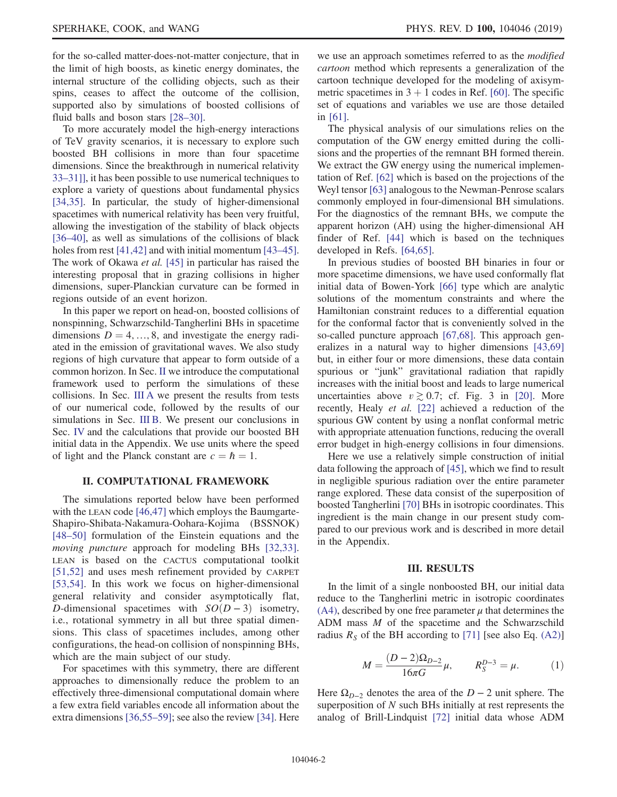for the so-called matter-does-not-matter conjecture, that in the limit of high boosts, as kinetic energy dominates, the internal structure of the colliding objects, such as their spins, ceases to affect the outcome of the collision, supported also by simulations of boosted collisions of fluid balls and boson stars [\[28](#page-8-14)–30].

To more accurately model the high-energy interactions of TeV gravity scenarios, it is necessary to explore such boosted BH collisions in more than four spacetime dimensions. Since the breakthrough in numerical relativity 33–31]], it has been possible to use numerical techniques to explore a variety of questions about fundamental physics [\[34,35\]](#page-8-16). In particular, the study of higher-dimensional spacetimes with numerical relativity has been very fruitful, allowing the investigation of the stability of black objects [\[36](#page-8-17)–40], as well as simulations of the collisions of black holes from rest [\[41,42\]](#page-8-18) and with initial momentum [\[43](#page-9-0)–45]. The work of Okawa *et al.* [\[45\]](#page-9-1) in particular has raised the interesting proposal that in grazing collisions in higher dimensions, super-Planckian curvature can be formed in regions outside of an event horizon.

In this paper we report on head-on, boosted collisions of nonspinning, Schwarzschild-Tangherlini BHs in spacetime dimensions  $D = 4, ..., 8$ , and investigate the energy radiated in the emission of gravitational waves. We also study regions of high curvature that appear to form outside of a common horizon. In Sec. [II](#page-1-0) we introduce the computational framework used to perform the simulations of these collisions. In Sec. [III A](#page-2-0) we present the results from tests of our numerical code, followed by the results of our simulations in Sec. [III B.](#page-3-0) We present our conclusions in Sec. [IV](#page-5-0) and the calculations that provide our boosted BH initial data in the Appendix. We use units where the speed of light and the Planck constant are  $c = \hbar = 1$ .

### II. COMPUTATIONAL FRAMEWORK

<span id="page-1-0"></span>The simulations reported below have been performed with the LEAN code [\[46,47\]](#page-9-2) which employs the Baumgarte-Shapiro-Shibata-Nakamura-Oohara-Kojima (BSSNOK) [48–[50\]](#page-9-3) formulation of the Einstein equations and the moving puncture approach for modeling BHs [\[32,33\]](#page-8-19). LEAN is based on the CACTUS computational toolkit [\[51,52\]](#page-9-4) and uses mesh refinement provided by CARPET [\[53,54\]](#page-9-5). In this work we focus on higher-dimensional general relativity and consider asymptotically flat, D-dimensional spacetimes with  $SO(D-3)$  isometry, i.e., rotational symmetry in all but three spatial dimensions. This class of spacetimes includes, among other configurations, the head-on collision of nonspinning BHs, which are the main subject of our study.

For spacetimes with this symmetry, there are different approaches to dimensionally reduce the problem to an effectively three-dimensional computational domain where a few extra field variables encode all information about the extra dimensions [\[36,55](#page-8-17)–59]; see also the review [\[34\]](#page-8-16). Here we use an approach sometimes referred to as the modified cartoon method which represents a generalization of the cartoon technique developed for the modeling of axisymmetric spacetimes in  $3 + 1$  codes in Ref. [\[60\].](#page-9-6) The specific set of equations and variables we use are those detailed in [\[61\]](#page-9-7).

The physical analysis of our simulations relies on the computation of the GW energy emitted during the collisions and the properties of the remnant BH formed therein. We extract the GW energy using the numerical implementation of Ref. [\[62\]](#page-9-8) which is based on the projections of the Weyl tensor [\[63\]](#page-9-9) analogous to the Newman-Penrose scalars commonly employed in four-dimensional BH simulations. For the diagnostics of the remnant BHs, we compute the apparent horizon (AH) using the higher-dimensional AH finder of Ref. [\[44\]](#page-9-10) which is based on the techniques developed in Refs. [\[64,65\].](#page-9-11)

In previous studies of boosted BH binaries in four or more spacetime dimensions, we have used conformally flat initial data of Bowen-York [\[66\]](#page-9-12) type which are analytic solutions of the momentum constraints and where the Hamiltonian constraint reduces to a differential equation for the conformal factor that is conveniently solved in the so-called puncture approach [\[67,68\].](#page-9-13) This approach generalizes in a natural way to higher dimensions [\[43,69\]](#page-9-0) but, in either four or more dimensions, these data contain spurious or "junk" gravitational radiation that rapidly increases with the initial boost and leads to large numerical uncertainties above  $v \gtrsim 0.7$ ; cf. Fig. 3 in [\[20\].](#page-8-9) More recently, Healy et al. [\[22\]](#page-8-11) achieved a reduction of the spurious GW content by using a nonflat conformal metric with appropriate attenuation functions, reducing the overall error budget in high-energy collisions in four dimensions.

Here we use a relatively simple construction of initial data following the approach of [\[45\],](#page-9-1) which we find to result in negligible spurious radiation over the entire parameter range explored. These data consist of the superposition of boosted Tangherlini [\[70\]](#page-9-14) BHs in isotropic coordinates. This ingredient is the main change in our present study compared to our previous work and is described in more detail in the Appendix.

#### III. RESULTS

<span id="page-1-1"></span>In the limit of a single nonboosted BH, our initial data reduce to the Tangherlini metric in isotropic coordinates [\(A4\),](#page-6-0) described by one free parameter  $\mu$  that determines the ADM mass M of the spacetime and the Schwarzschild radius  $R<sub>S</sub>$  of the BH according to [\[71\]](#page-9-15) [see also Eq. [\(A2\)\]](#page-6-1)

$$
M = \frac{(D-2)\Omega_{D-2}}{16\pi G} \mu, \qquad R_S^{D-3} = \mu.
$$
 (1)

Here  $\Omega_{D-2}$  denotes the area of the  $D-2$  unit sphere. The superposition of  $N$  such BHs initially at rest represents the analog of Brill-Lindquist [\[72\]](#page-9-16) initial data whose ADM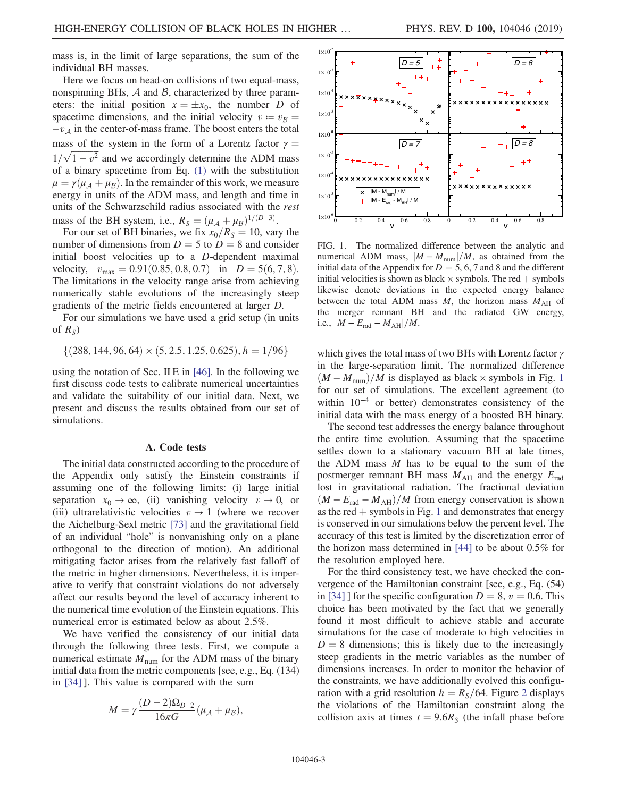mass is, in the limit of large separations, the sum of the individual BH masses.

Here we focus on head-on collisions of two equal-mass, nonspinning BHs,  $A$  and  $B$ , characterized by three parameters: the initial position  $x = \pm x_0$ , the number D of spacetime dimensions and the initial velocity  $v_i = v_0 =$ spacetime dimensions, and the initial velocity  $v = v_B$  $-v_A$  in the center-of-mass frame. The boost enters the total mass of the system in the form of a Lorentz factor  $\gamma =$  $1/\sqrt{1 - v^2}$  and we accordingly determine the ADM mass of a binary spacetime from Eq. [\(1\)](#page-1-1) with the substitution  $\mu = \gamma(\mu_A + \mu_B)$ . In the remainder of this work, we measure energy in units of the ADM mass, and length and time in units of the Schwarzschild radius associated with the rest mass of the BH system, i.e.,  $R_S = (\mu_A + \mu_B)^{1/(D-3)}$ .<br>For our set of BH binaries, we fix  $r_S/R_S = 10$ , yar

For our set of BH binaries, we fix  $x_0/R_s = 10$ , vary the number of dimensions from  $D = 5$  to  $D = 8$  and consider initial boost velocities up to a D-dependent maximal velocity,  $v_{\text{max}} = 0.91(0.85, 0.8, 0.7)$  in  $D = 5(6, 7, 8)$ . The limitations in the velocity range arise from achieving numerically stable evolutions of the increasingly steep gradients of the metric fields encountered at larger D.

For our simulations we have used a grid setup (in units of  $R_S$ )

 $\{(288, 144, 96, 64) \times (5, 2.5, 1.25, 0.625), h = 1/96\}$ 

using the notation of Sec. II E in [\[46\].](#page-9-2) In the following we first discuss code tests to calibrate numerical uncertainties and validate the suitability of our initial data. Next, we present and discuss the results obtained from our set of simulations.

#### A. Code tests

<span id="page-2-0"></span>The initial data constructed according to the procedure of the Appendix only satisfy the Einstein constraints if assuming one of the following limits: (i) large initial separation  $x_0 \to \infty$ , (ii) vanishing velocity  $v \to 0$ , or (iii) ultrarelativistic velocities  $v \rightarrow 1$  (where we recover the Aichelburg-Sexl metric [\[73\]](#page-9-17) and the gravitational field of an individual "hole" is nonvanishing only on a plane orthogonal to the direction of motion). An additional mitigating factor arises from the relatively fast falloff of the metric in higher dimensions. Nevertheless, it is imperative to verify that constraint violations do not adversely affect our results beyond the level of accuracy inherent to the numerical time evolution of the Einstein equations. This numerical error is estimated below as about 2.5%.

We have verified the consistency of our initial data through the following three tests. First, we compute a numerical estimate  $M_{num}$  for the ADM mass of the binary initial data from the metric components [see, e.g., Eq. (134) in [\[34\]](#page-8-16) ]. This value is compared with the sum

$$
M = \gamma \frac{(D-2)\Omega_{D-2}}{16\pi G} (\mu_{\mathcal{A}} + \mu_{\mathcal{B}}),
$$

<span id="page-2-1"></span>

FIG. 1. The normalized difference between the analytic and numerical ADM mass,  $|M - M_{num}|/M$ , as obtained from the initial data of the Appendix for  $D = 5, 6, 7$  and 8 and the different initial velocities is shown as black  $\times$  symbols. The red  $+$  symbols likewise denote deviations in the expected energy balance between the total ADM mass  $M$ , the horizon mass  $M_{AH}$  of the merger remnant BH and the radiated GW energy, i.e.,  $|M - E_{\text{rad}} - M_{\text{AH}}|/M$ .

which gives the total mass of two BHs with Lorentz factor  $\gamma$ in the large-separation limit. The normalized difference  $(M - M_{num})/M$  is displayed as black × symbols in Fig. [1](#page-2-1) for our set of simulations. The excellent agreement (to within  $10^{-4}$  or better) demonstrates consistency of the initial data with the mass energy of a boosted BH binary.

The second test addresses the energy balance throughout the entire time evolution. Assuming that the spacetime settles down to a stationary vacuum BH at late times, the ADM mass  $M$  has to be equal to the sum of the postmerger remnant BH mass  $M_{AH}$  and the energy  $E_{rad}$ lost in gravitational radiation. The fractional deviation  $(M - E_{rad} - M_{AH})/M$  from energy conservation is shown as the red  $+$  symbols in Fig. [1](#page-2-1) and demonstrates that energy is conserved in our simulations below the percent level. The accuracy of this test is limited by the discretization error of the horizon mass determined in [\[44\]](#page-9-10) to be about 0.5% for the resolution employed here.

For the third consistency test, we have checked the convergence of the Hamiltonian constraint [see, e.g., Eq. (54) in [\[34\]](#page-8-16) ] for the specific configuration  $D = 8$ ,  $v = 0.6$ . This choice has been motivated by the fact that we generally found it most difficult to achieve stable and accurate simulations for the case of moderate to high velocities in  $D = 8$  dimensions; this is likely due to the increasingly steep gradients in the metric variables as the number of dimensions increases. In order to monitor the behavior of the constraints, we have additionally evolved this configuration with a grid resolution  $h = R<sub>S</sub>/64$ . Figure [2](#page-3-1) displays the violations of the Hamiltonian constraint along the collision axis at times  $t = 9.6R<sub>S</sub>$  (the infall phase before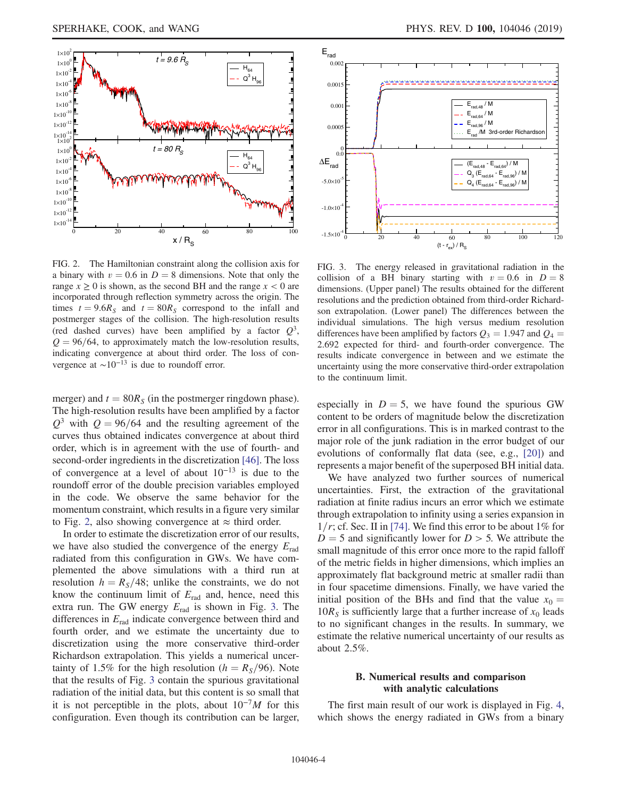<span id="page-3-1"></span> $\frac{1\times10^{-14}}{1\times10^{2}}$  $1\times10^{-1}$  $1\times10^{-1}$  $1\times10$  $1\times10$  $1\times10$  $1\times10^{-2}$  $1\times10$ <sup> $\sigma$ </sup>  $1\times10$  $H_{64}$  $\textsf{Q}^3\,\textsf{H}_{\mathsf{96}}$ 0 20 40 60 80 100  $x/R<sub>S</sub>$  $1\times10$  $1\times10^7$  $1 \times 10^{-1}$  $1\times10$  $1\times10$  $1\times10^7$  $1\times10^7$  $1\times10$ <sup> $\degree$ </sup>  $H_{64}$  $\mathsf{Q}^3\,\mathsf{H}_{\mathsf{96}}$  $t = 9.6 R_{\rm s}$  $t = 80 R$ 

FIG. 2. The Hamiltonian constraint along the collision axis for a binary with  $v = 0.6$  in  $D = 8$  dimensions. Note that only the range  $x \ge 0$  is shown, as the second BH and the range  $x < 0$  are incorporated through reflection symmetry across the origin. The times  $t = 9.6R_s$  and  $t = 80R_s$  correspond to the infall and postmerger stages of the collision. The high-resolution results (red dashed curves) have been amplified by a factor  $Q^3$ ,  $Q = 96/64$ , to approximately match the low-resolution results, indicating convergence at about third order. The loss of convergence at  $\sim 10^{-13}$  is due to roundoff error.

merger) and  $t = 80R<sub>S</sub>$  (in the postmerger ringdown phase). The high-resolution results have been amplified by a factor  $Q^3$  with  $Q = 96/64$  and the resulting agreement of the curves thus obtained indicates convergence at about third order, which is in agreement with the use of fourth- and second-order ingredients in the discretization [\[46\]](#page-9-2). The loss of convergence at a level of about  $10^{-13}$  is due to the roundoff error of the double precision variables employed in the code. We observe the same behavior for the momentum constraint, which results in a figure very similar to Fig. [2](#page-3-1), also showing convergence at  $\approx$  third order.

In order to estimate the discretization error of our results, we have also studied the convergence of the energy  $E_{rad}$ radiated from this configuration in GWs. We have complemented the above simulations with a third run at resolution  $h = R_s/48$ ; unlike the constraints, we do not know the continuum limit of  $E_{rad}$  and, hence, need this extra run. The GW energy  $E_{rad}$  is shown in Fig. [3.](#page-3-2) The differences in  $E_{rad}$  indicate convergence between third and fourth order, and we estimate the uncertainty due to discretization using the more conservative third-order Richardson extrapolation. This yields a numerical uncertainty of 1.5% for the high resolution ( $h = R<sub>S</sub>/96$ ). Note that the results of Fig. [3](#page-3-2) contain the spurious gravitational radiation of the initial data, but this content is so small that it is not perceptible in the plots, about  $10^{-7}M$  for this configuration. Even though its contribution can be larger,

<span id="page-3-2"></span>

FIG. 3. The energy released in gravitational radiation in the collision of a BH binary starting with  $v = 0.6$  in  $D = 8$ dimensions. (Upper panel) The results obtained for the different resolutions and the prediction obtained from third-order Richardson extrapolation. (Lower panel) The differences between the individual simulations. The high versus medium resolution differences have been amplified by factors  $Q_3 = 1.947$  and  $Q_4 =$ 2.692 expected for third- and fourth-order convergence. The results indicate convergence in between and we estimate the uncertainty using the more conservative third-order extrapolation to the continuum limit.

especially in  $D = 5$ , we have found the spurious GW content to be orders of magnitude below the discretization error in all configurations. This is in marked contrast to the major role of the junk radiation in the error budget of our evolutions of conformally flat data (see, e.g., [\[20\]\)](#page-8-9) and represents a major benefit of the superposed BH initial data.

We have analyzed two further sources of numerical uncertainties. First, the extraction of the gravitational radiation at finite radius incurs an error which we estimate through extrapolation to infinity using a series expansion in  $1/r$ ; cf. Sec. II in [\[74\].](#page-9-18) We find this error to be about 1% for  $D = 5$  and significantly lower for  $D > 5$ . We attribute the small magnitude of this error once more to the rapid falloff of the metric fields in higher dimensions, which implies an approximately flat background metric at smaller radii than in four spacetime dimensions. Finally, we have varied the initial position of the BHs and find that the value  $x_0 =$  $10R_s$  is sufficiently large that a further increase of  $x_0$  leads to no significant changes in the results. In summary, we estimate the relative numerical uncertainty of our results as about 2.5%.

## <span id="page-3-0"></span>B. Numerical results and comparison with analytic calculations

The first main result of our work is displayed in Fig. [4](#page-4-0), which shows the energy radiated in GWs from a binary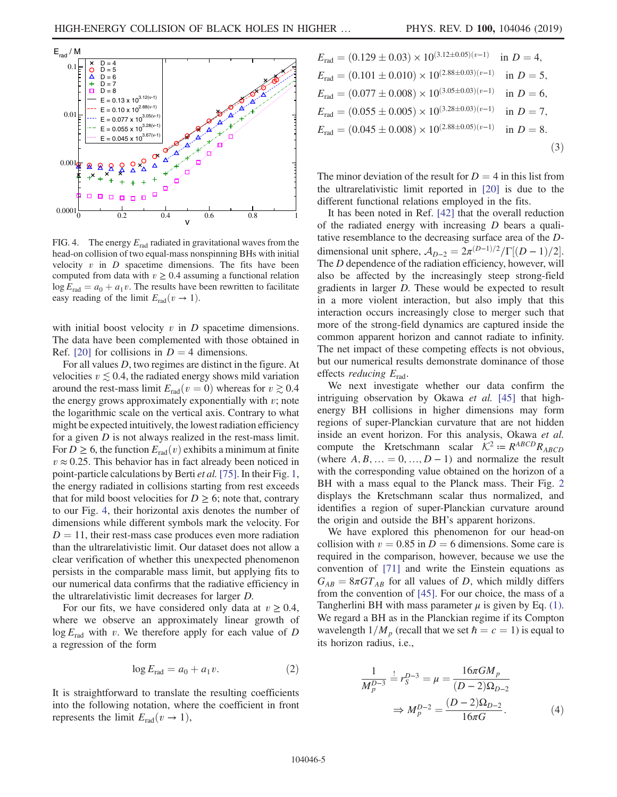<span id="page-4-0"></span>

FIG. 4. The energy  $E_{rad}$  radiated in gravitational waves from the head-on collision of two equal-mass nonspinning BHs with initial velocity  $v$  in  $D$  spacetime dimensions. The fits have been computed from data with  $v \geq 0.4$  assuming a functional relation  $\log E_{\text{rad}} = a_0 + a_1 v$ . The results have been rewritten to facilitate easy reading of the limit  $E_{rad}(v \rightarrow 1)$ .

with initial boost velocity  $v$  in  $D$  spacetime dimensions. The data have been complemented with those obtained in Ref. [\[20\]](#page-8-9) for collisions in  $D = 4$  dimensions.

For all values D, two regimes are distinct in the figure. At velocities  $v \lesssim 0.4$ , the radiated energy shows mild variation around the rest-mass limit  $E_{rad}(v = 0)$  whereas for  $v \gtrsim 0.4$ the energy grows approximately exponentially with  $v$ ; note the logarithmic scale on the vertical axis. Contrary to what might be expected intuitively, the lowest radiation efficiency for a given D is not always realized in the rest-mass limit. For  $D \geq 6$ , the function  $E_{rad}(v)$  exhibits a minimum at finite  $v \approx 0.25$ . This behavior has in fact already been noticed in point-particle calculations by Berti et al. [\[75\].](#page-9-19) In their Fig. [1](#page-2-1), the energy radiated in collisions starting from rest exceeds that for mild boost velocities for  $D \geq 6$ ; note that, contrary to our Fig. [4,](#page-4-0) their horizontal axis denotes the number of dimensions while different symbols mark the velocity. For  $D = 11$ , their rest-mass case produces even more radiation than the ultrarelativistic limit. Our dataset does not allow a clear verification of whether this unexpected phenomenon persists in the comparable mass limit, but applying fits to our numerical data confirms that the radiative efficiency in the ultrarelativistic limit decreases for larger D.

For our fits, we have considered only data at  $v \ge 0.4$ , where we observe an approximately linear growth of  $\log E_{\text{rad}}$  with v. We therefore apply for each value of D a regression of the form

$$
\log E_{\text{rad}} = a_0 + a_1 v. \tag{2}
$$

<span id="page-4-2"></span>It is straightforward to translate the resulting coefficients into the following notation, where the coefficient in front represents the limit  $E_{\text{rad}}(v \to 1)$ ,

$$
E_{\text{rad}} = (0.129 \pm 0.03) \times 10^{(3.12 \pm 0.05)(v-1)} \text{ in } D = 4,
$$
  
\n
$$
E_{\text{rad}} = (0.101 \pm 0.010) \times 10^{(2.88 \pm 0.03)(v-1)} \text{ in } D = 5,
$$
  
\n
$$
E_{\text{rad}} = (0.077 \pm 0.008) \times 10^{(3.05 \pm 0.03)(v-1)} \text{ in } D = 6,
$$
  
\n
$$
E_{\text{rad}} = (0.055 \pm 0.005) \times 10^{(3.28 \pm 0.03)(v-1)} \text{ in } D = 7,
$$
  
\n
$$
E_{\text{rad}} = (0.045 \pm 0.008) \times 10^{(2.88 \pm 0.05)(v-1)} \text{ in } D = 8.
$$
  
\n(3)

The minor deviation of the result for  $D = 4$  in this list from the ultrarelativistic limit reported in [\[20\]](#page-8-9) is due to the different functional relations employed in the fits.

It has been noted in Ref. [\[42\]](#page-9-20) that the overall reduction of the radiated energy with increasing D bears a qualitative resemblance to the decreasing surface area of the Ddimensional unit sphere,  $A_{D-2} = 2\pi^{(D-1)/2}/\Gamma[(D-1)/2]$ . The D dependence of the radiation efficiency, however, will also be affected by the increasingly steep strong-field gradients in larger D. These would be expected to result in a more violent interaction, but also imply that this interaction occurs increasingly close to merger such that more of the strong-field dynamics are captured inside the common apparent horizon and cannot radiate to infinity. The net impact of these competing effects is not obvious, but our numerical results demonstrate dominance of those effects reducing  $E_{\text{rad}}$ .

We next investigate whether our data confirm the intriguing observation by Okawa et al. [\[45\]](#page-9-1) that highenergy BH collisions in higher dimensions may form regions of super-Planckian curvature that are not hidden inside an event horizon. For this analysis, Okawa et al. compute the Kretschmann scalar  $K^2 = R^{ABCD}R_{ABCD}$ (where  $A, B, \ldots = 0, \ldots, D - 1$ ) and normalize the result with the corresponding value obtained on the horizon of a BH with a mass equal to the Planck mass. Their Fig. [2](#page-3-1) displays the Kretschmann scalar thus normalized, and identifies a region of super-Planckian curvature around the origin and outside the BH's apparent horizons.

We have explored this phenomenon for our head-on collision with  $v = 0.85$  in  $D = 6$  dimensions. Some care is required in the comparison, however, because we use the convention of [\[71\]](#page-9-15) and write the Einstein equations as  $G_{AB} = 8\pi G T_{AB}$  for all values of D, which mildly differs from the convention of [\[45\].](#page-9-1) For our choice, the mass of a Tangherlini BH with mass parameter  $\mu$  is given by Eq. [\(1\)](#page-1-1). We regard a BH as in the Planckian regime if its Compton wavelength  $1/M_p$  (recall that we set  $\hbar = c = 1$ ) is equal to its horizon radius, i.e.,

<span id="page-4-1"></span>
$$
\frac{1}{M_p^{D-3}} \stackrel{!}{=} r_S^{D-3} = \mu = \frac{16\pi GM_p}{(D-2)\Omega_{D-2}}
$$

$$
\Rightarrow M_p^{D-2} = \frac{(D-2)\Omega_{D-2}}{16\pi G}.
$$
(4)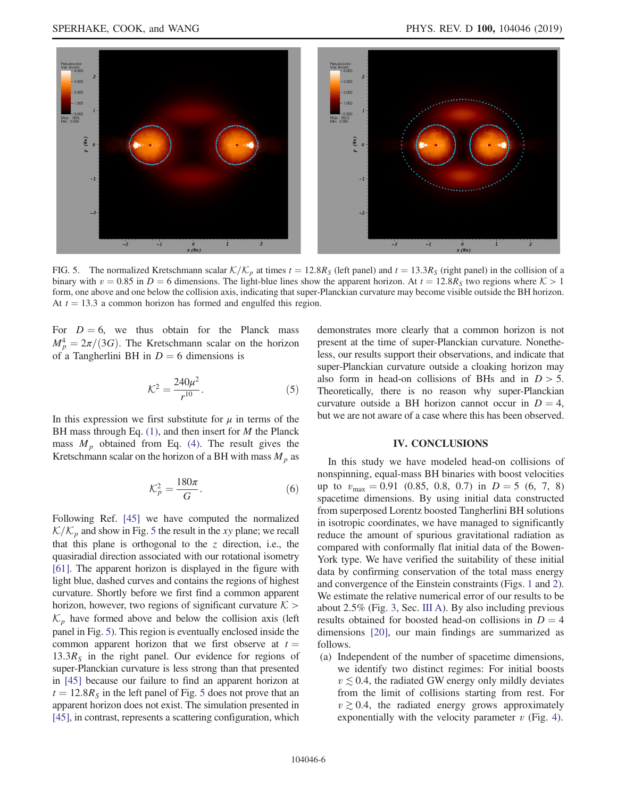<span id="page-5-1"></span>

FIG. 5. The normalized Kretschmann scalar  $K/K_p$  at times  $t = 12.8R_s$  (left panel) and  $t = 13.3R_s$  (right panel) in the collision of a binary with  $v = 0.85$  in  $D = 6$  dimensions. The light-blue lines show the apparent horizon. At  $t = 12.8R_S$  two regions where  $K > 1$ form, one above and one below the collision axis, indicating that super-Planckian curvature may become visible outside the BH horizon. At  $t = 13.3$  a common horizon has formed and engulfed this region.

For  $D = 6$ , we thus obtain for the Planck mass  $M_p^4 = 2\pi/(3G)$ . The Kretschmann scalar on the horizon<br>of a Tangherlini BH in  $D = 6$  dimensions is of a Tangherlini BH in  $D = 6$  dimensions is

$$
\mathcal{K}^2 = \frac{240\mu^2}{r^{10}}.
$$
 (5)

In this expression we first substitute for  $\mu$  in terms of the BH mass through Eq.  $(1)$ , and then insert for *M* the Planck mass  $M_p$  obtained from Eq. [\(4\)](#page-4-1). The result gives the Kretschmann scalar on the horizon of a BH with mass  $M_p$  as

$$
\mathcal{K}_p^2 = \frac{180\pi}{G}.\tag{6}
$$

Following Ref. [\[45\]](#page-9-1) we have computed the normalized  $K/K_p$  and show in Fig. [5](#page-5-1) the result in the xy plane; we recall that this plane is orthogonal to the z direction, i.e., the quasiradial direction associated with our rotational isometry [\[61\].](#page-9-7) The apparent horizon is displayed in the figure with light blue, dashed curves and contains the regions of highest curvature. Shortly before we first find a common apparent horizon, however, two regions of significant curvature  $K >$  $\mathcal{K}_p$  have formed above and below the collision axis (left panel in Fig. [5](#page-5-1)). This region is eventually enclosed inside the common apparent horizon that we first observe at  $t =$  $13.3R<sub>S</sub>$  in the right panel. Our evidence for regions of super-Planckian curvature is less strong than that presented in [\[45\]](#page-9-1) because our failure to find an apparent horizon at  $t = 12.8R<sub>S</sub>$  in the left panel of Fig. [5](#page-5-1) does not prove that an apparent horizon does not exist. The simulation presented in [\[45\],](#page-9-1) in contrast, represents a scattering configuration, which demonstrates more clearly that a common horizon is not present at the time of super-Planckian curvature. Nonetheless, our results support their observations, and indicate that super-Planckian curvature outside a cloaking horizon may also form in head-on collisions of BHs and in  $D > 5$ . Theoretically, there is no reason why super-Planckian curvature outside a BH horizon cannot occur in  $D = 4$ , but we are not aware of a case where this has been observed.

#### IV. CONCLUSIONS

<span id="page-5-0"></span>In this study we have modeled head-on collisions of nonspinning, equal-mass BH binaries with boost velocities up to  $v_{\text{max}} = 0.91$  (0.85, 0.8, 0.7) in  $D = 5$  (6, 7, 8) spacetime dimensions. By using initial data constructed from superposed Lorentz boosted Tangherlini BH solutions in isotropic coordinates, we have managed to significantly reduce the amount of spurious gravitational radiation as compared with conformally flat initial data of the Bowen-York type. We have verified the suitability of these initial data by confirming conservation of the total mass energy and convergence of the Einstein constraints (Figs. [1](#page-2-1) and [2](#page-3-1)). We estimate the relative numerical error of our results to be about  $2.5\%$  (Fig. [3](#page-3-2), Sec. [III A\)](#page-2-0). By also including previous results obtained for boosted head-on collisions in  $D = 4$ dimensions [\[20\]](#page-8-9), our main findings are summarized as follows.

(a) Independent of the number of spacetime dimensions, we identify two distinct regimes: For initial boosts  $v \lesssim 0.4$ , the radiated GW energy only mildly deviates from the limit of collisions starting from rest. For  $v \gtrsim 0.4$ , the radiated energy grows approximately exponentially with the velocity parameter  $v$  (Fig. [4](#page-4-0)).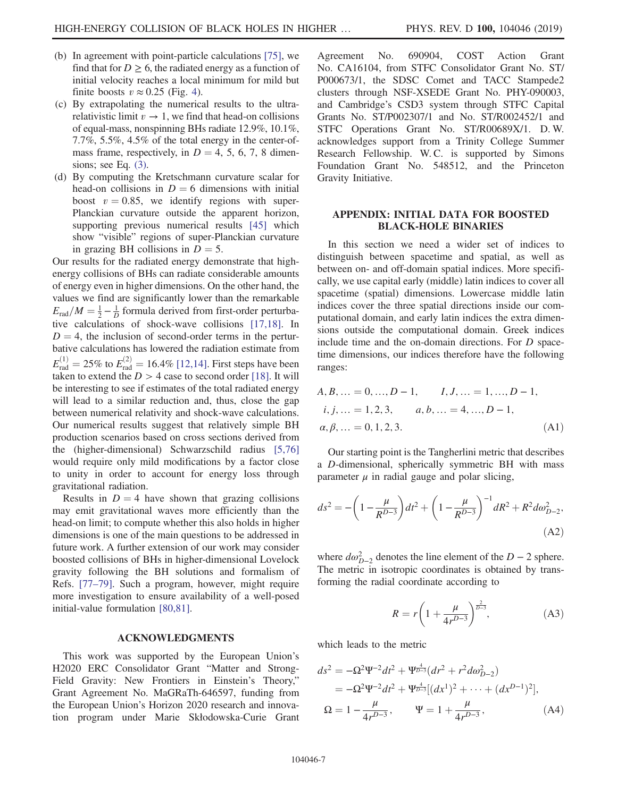- (b) In agreement with point-particle calculations [\[75\]](#page-9-19), we find that for  $D \ge 6$ , the radiated energy as a function of initial velocity reaches a local minimum for mild but finite boosts  $v \approx 0.25$  (Fig. [4\)](#page-4-0).
- (c) By extrapolating the numerical results to the ultrarelativistic limit  $v \to 1$ , we find that head-on collisions of equal-mass, nonspinning BHs radiate 12.9%, 10.1%, 7.7%, 5.5%, 4.5% of the total energy in the center-ofmass frame, respectively, in  $D = 4, 5, 6, 7, 8$  dimensions; see Eq. [\(3\)](#page-4-2).
- (d) By computing the Kretschmann curvature scalar for head-on collisions in  $D = 6$  dimensions with initial boost  $v = 0.85$ , we identify regions with super-Planckian curvature outside the apparent horizon, supporting previous numerical results [\[45\]](#page-9-1) which show "visible" regions of super-Planckian curvature in grazing BH collisions in  $D = 5$ .

Our results for the radiated energy demonstrate that highenergy collisions of BHs can radiate considerable amounts of energy even in higher dimensions. On the other hand, the values we find are significantly lower than the remarkable  $E_{\text{rad}}/M = \frac{1}{2} - \frac{1}{D}$  formula derived from first-order perturba-<br>tive calculations of shock-wave collisions [17.18]. In tive calculations of shock-wave collisions [\[17,18\].](#page-8-20) In  $D = 4$ , the inclusion of second-order terms in the perturbative calculations has lowered the radiation estimate from  $E_{\text{rad}}^{(1)} = 25\%$  to  $E_{\text{rad}}^{(2)} = 16.4\%$  [\[12,14\]](#page-8-21). First steps have been taken to extend the  $D > 4$  case to second order [\[18\].](#page-8-22) It will be interesting to see if estimates of the total radiated energy will lead to a similar reduction and, thus, close the gap between numerical relativity and shock-wave calculations. Our numerical results suggest that relatively simple BH production scenarios based on cross sections derived from the (higher-dimensional) Schwarzschild radius [\[5,76\]](#page-8-23) would require only mild modifications by a factor close to unity in order to account for energy loss through gravitational radiation.

Results in  $D = 4$  have shown that grazing collisions may emit gravitational waves more efficiently than the head-on limit; to compute whether this also holds in higher dimensions is one of the main questions to be addressed in future work. A further extension of our work may consider boosted collisions of BHs in higher-dimensional Lovelock gravity following the BH solutions and formalism of Refs. [\[77](#page-9-21)–79]. Such a program, however, might require more investigation to ensure availability of a well-posed initial-value formulation [\[80,81\]](#page-9-22).

## ACKNOWLEDGMENTS

This work was supported by the European Union's H2020 ERC Consolidator Grant "Matter and Strong-Field Gravity: New Frontiers in Einstein's Theory," Grant Agreement No. MaGRaTh-646597, funding from the European Union's Horizon 2020 research and innovation program under Marie Skłodowska-Curie Grant Agreement No. 690904, COST Action Grant No. CA16104, from STFC Consolidator Grant No. ST/ P000673/1, the SDSC Comet and TACC Stampede2 clusters through NSF-XSEDE Grant No. PHY-090003, and Cambridge's CSD3 system through STFC Capital Grants No. ST/P002307/1 and No. ST/R002452/1 and STFC Operations Grant No. ST/R00689X/1. D. W. acknowledges support from a Trinity College Summer Research Fellowship. W. C. is supported by Simons Foundation Grant No. 548512, and the Princeton Gravity Initiative.

## APPENDIX: INITIAL DATA FOR BOOSTED BLACK-HOLE BINARIES

In this section we need a wider set of indices to distinguish between spacetime and spatial, as well as between on- and off-domain spatial indices. More specifically, we use capital early (middle) latin indices to cover all spacetime (spatial) dimensions. Lowercase middle latin indices cover the three spatial directions inside our computational domain, and early latin indices the extra dimensions outside the computational domain. Greek indices include time and the on-domain directions. For D spacetime dimensions, our indices therefore have the following ranges:

$$
A, B, ... = 0, ..., D - 1, \t I, J, ... = 1, ..., D - 1,
$$
  

$$
i, j, ... = 1, 2, 3, \t a, b, ... = 4, ..., D - 1,
$$
  

$$
\alpha, \beta, ... = 0, 1, 2, 3.
$$
 (A1)

<span id="page-6-1"></span>Our starting point is the Tangherlini metric that describes a D-dimensional, spherically symmetric BH with mass parameter  $\mu$  in radial gauge and polar slicing,

$$
ds^{2} = -\left(1 - \frac{\mu}{R^{D-3}}\right)dt^{2} + \left(1 - \frac{\mu}{R^{D-3}}\right)^{-1}dR^{2} + R^{2}d\omega_{D-2}^{2},
$$
\n(A2)

where  $d\omega_{D-2}^2$  denotes the line element of the  $D-2$  sphere. The metric in isotropic coordinates is obtained by transforming the radial coordinate according to

$$
R = r \left( 1 + \frac{\mu}{4r^{D-3}} \right)^{\frac{2}{D-3}},
$$
 (A3)

<span id="page-6-0"></span>which leads to the metric

$$
ds^{2} = -\Omega^{2} \Psi^{-2} dt^{2} + \Psi^{\frac{4}{D-3}}(dr^{2} + r^{2} d\omega_{D-2}^{2})
$$
  
=  $-\Omega^{2} \Psi^{-2} dt^{2} + \Psi^{\frac{4}{D-3}}[(dx^{1})^{2} + \dots + (dx^{D-1})^{2}],$   
 $\Omega = 1 - \frac{\mu}{4r^{D-3}}, \qquad \Psi = 1 + \frac{\mu}{4r^{D-3}},$  (A4)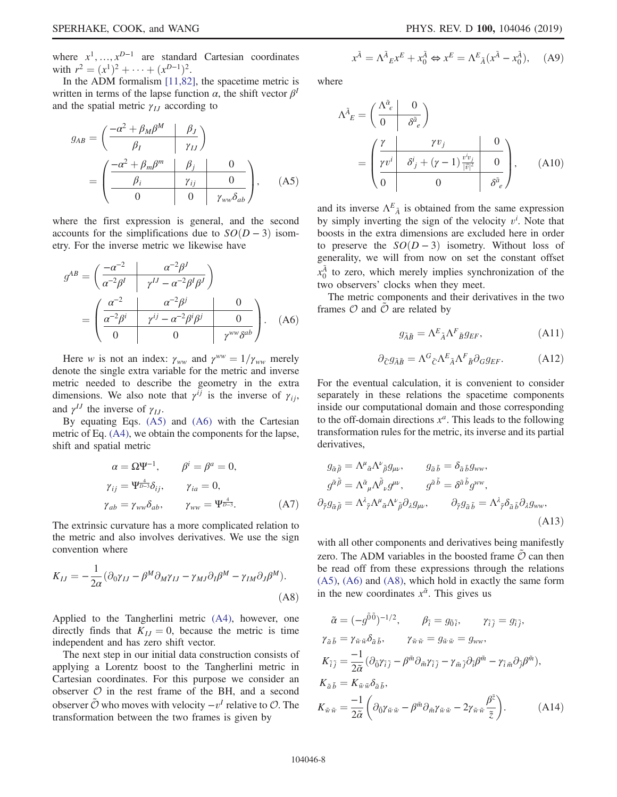where  $x^1, ..., x^{D-1}$  are standard Cartesian coordinates with  $r^2 = (x^1)^2 + \cdots + (x^{D-1})^2$ .

<span id="page-7-0"></span>In the ADM formalism [\[11,82\]](#page-8-5), the spacetime metric is written in terms of the lapse function  $\alpha$ , the shift vector  $\beta^I$ and the spatial metric  $\gamma_{IJ}$  according to

$$
g_{AB} = \left(\begin{array}{c|cc} -\alpha^2 + \beta_M \beta^M & \beta_J \\ \beta_I & \gamma_{IJ} \end{array}\right)
$$
  
= 
$$
\left(\begin{array}{c|cc} -\alpha^2 + \beta_m \beta^m & \beta_J & 0 \\ \beta_i & \gamma_{ij} & 0 \\ 0 & 0 & \gamma_{ww} \delta_{ab} \end{array}\right), \quad (A5)
$$

<span id="page-7-1"></span>where the first expression is general, and the second accounts for the simplifications due to  $SO(D-3)$  isometry. For the inverse metric we likewise have

$$
g^{AB} = \left(\frac{-\alpha^{-2}}{\alpha^{-2}\beta^{I}} \left| \frac{\alpha^{-2}\beta^{J}}{\gamma^{IJ} - \alpha^{-2}\beta^{I}\beta^{J}} \right.\right)
$$

$$
= \left(\frac{\alpha^{-2}}{\alpha^{-2}\beta^{i}} \left| \frac{\alpha^{-2}\beta^{j}}{\gamma^{ij} - \alpha^{-2}\beta^{i}\beta^{j}} \right| \left| \frac{\alpha}{\gamma^{ww}\delta^{ab}} \right.\right). (A6)
$$

Here w is not an index:  $\gamma_{ww}$  and  $\gamma_{ww} = 1/\gamma_{ww}$  merely denote the single extra variable for the metric and inverse metric needed to describe the geometry in the extra dimensions. We also note that  $\gamma^{ij}$  is the inverse of  $\gamma_{ij}$ , and  $\gamma^{IJ}$  the inverse of  $\gamma_{IJ}$ .

By equating Eqs. [\(A5\)](#page-7-0) and [\(A6\)](#page-7-1) with the Cartesian metric of Eq. [\(A4\),](#page-6-0) we obtain the components for the lapse, shift and spatial metric

$$
\alpha = \Omega \Psi^{-1}, \qquad \beta^{i} = \beta^{a} = 0,
$$
  
\n
$$
\gamma_{ij} = \Psi_{\rho=3}^{\frac{4}{D-3}} \delta_{ij}, \qquad \gamma_{ia} = 0,
$$
  
\n
$$
\gamma_{ab} = \gamma_{ww} \delta_{ab}, \qquad \gamma_{ww} = \Psi_{\rho=3}^{\frac{4}{D-3}}.
$$
\n(A7)

<span id="page-7-2"></span>The extrinsic curvature has a more complicated relation to the metric and also involves derivatives. We use the sign convention where

$$
K_{IJ} = -\frac{1}{2\alpha} (\partial_0 \gamma_{IJ} - \beta^M \partial_M \gamma_{IJ} - \gamma_{MJ} \partial_I \beta^M - \gamma_{IM} \partial_J \beta^M).
$$
(A8)

Applied to the Tangherlini metric [\(A4\),](#page-6-0) however, one directly finds that  $K_{IJ} = 0$ , because the metric is time independent and has zero shift vector.

The next step in our initial data construction consists of applying a Lorentz boost to the Tangherlini metric in Cartesian coordinates. For this purpose we consider an observer  $\mathcal O$  in the rest frame of the BH, and a second observer  $\tilde{\mathcal{O}}$  who moves with velocity  $-v^I$  relative to  $\mathcal{O}$ . The transformation between the two frames is given by

$$
x^{\tilde{A}} = \Lambda^{\tilde{A}}{}_{E} x^{E} + x_0^{\tilde{A}} \Leftrightarrow x^{E} = \Lambda^{E}{}_{\tilde{A}} (x^{\tilde{A}} - x_0^{\tilde{A}}), \quad (A9)
$$

where

$$
\Lambda^{\tilde{A}}_{E} = \begin{pmatrix} \frac{\Lambda^{\tilde{a}}_{e}}{0} & 0\\ 0 & \delta^{\tilde{a}}_{e} \end{pmatrix}
$$

$$
= \begin{pmatrix} \frac{\gamma}{\gamma v^{i}} & \frac{\gamma v_{j}}{\delta^{i} + (\gamma - 1) \frac{v^{i} v_{j}}{|\tilde{v}|^{2}} & 0\\ 0 & 0 & \delta^{\tilde{a}}_{e} \end{pmatrix}, \quad (A10)
$$

and its inverse  $\Lambda^E_{\tilde{A}}$  is obtained from the same expression by simply inverting the sign of the velocity  $v^i$ . Note that boosts in the extra dimensions are excluded here in order to preserve the  $SO(D-3)$  isometry. Without loss of generality, we will from now on set the constant offset  $x_0^{\tilde{A}}$  to zero, which merely implies synchronization of the two observers' clocks when they meet.

The metric components and their derivatives in the two frames  $\hat{O}$  and  $\tilde{O}$  are related by

$$
g_{\tilde{A}\tilde{B}} = \Lambda^E_{\tilde{A}} \Lambda^F_{\tilde{B}} g_{EF}, \qquad (A11)
$$

$$
\partial_{\tilde{C}} g_{\tilde{A}\tilde{B}} = \Lambda^G \tilde{C} \Lambda^E \tilde{A} \Lambda^F \tilde{B} \partial_G g_{EF}.
$$
 (A12)

For the eventual calculation, it is convenient to consider separately in these relations the spacetime components inside our computational domain and those corresponding to the off-domain directions  $x^a$ . This leads to the following transformation rules for the metric, its inverse and its partial derivatives,

$$
g_{\tilde{\alpha}\tilde{\beta}} = \Lambda^{\mu}{}_{\tilde{\alpha}} \Lambda^{\nu}{}_{\tilde{\beta}} g_{\mu\nu}, \qquad g_{\tilde{a}\tilde{b}} = \delta_{\tilde{a}\tilde{b}} g_{ww}, g^{\tilde{\alpha}\tilde{\beta}} = \Lambda^{\tilde{\alpha}}{}_{\mu} \Lambda^{\tilde{\beta}}{}_{\nu} g^{\mu\nu}, \qquad g^{\tilde{a}\tilde{b}} = \delta^{\tilde{a}\tilde{b}} g^{ww}, \partial_{\tilde{\gamma}} g_{\tilde{\alpha}\tilde{\beta}} = \Lambda^{\lambda}{}_{\tilde{\gamma}} \Lambda^{\mu}{}_{\tilde{\alpha}} \Lambda^{\nu}{}_{\tilde{\beta}} \partial_{\lambda} g_{\mu\nu}, \qquad \partial_{\tilde{\gamma}} g_{\tilde{a}\tilde{b}} = \Lambda^{\lambda}{}_{\tilde{\gamma}} \delta_{\tilde{a}\tilde{b}} \partial_{\lambda} g_{ww},
$$
\n(A13)

with all other components and derivatives being manifestly zero. The ADM variables in the boosted frame  $\ddot{\mathcal{O}}$  can then be read off from these expressions through the relations [\(A5\),](#page-7-0) [\(A6\)](#page-7-1) and [\(A8\)](#page-7-2), which hold in exactly the same form in the new coordinates  $x^{\tilde{\alpha}}$ . This gives us

$$
\tilde{\alpha} = (-g^{\tilde{0}\tilde{0}})^{-1/2}, \qquad \beta_{\tilde{i}} = g_{\tilde{0}\tilde{i}}, \qquad \gamma_{\tilde{i}\tilde{j}} = g_{\tilde{i}\tilde{j}},
$$
  
\n
$$
\gamma_{\tilde{a}\tilde{b}} = \gamma_{\tilde{w}\tilde{w}} \delta_{\tilde{a}\tilde{b}}, \qquad \gamma_{\tilde{w}\tilde{w}} = g_{\tilde{w}\tilde{w}} = g_{ww},
$$
  
\n
$$
K_{\tilde{i}\tilde{j}} = \frac{-1}{2\tilde{\alpha}} (\partial_{\tilde{0}} \gamma_{\tilde{i}\tilde{j}} - \beta^{\tilde{m}} \partial_{\tilde{m}} \gamma_{\tilde{i}\tilde{j}} - \gamma_{\tilde{m}\tilde{j}} \partial_{\tilde{i}} \beta^{\tilde{m}} - \gamma_{\tilde{i}\tilde{m}} \partial_{\tilde{j}} \beta^{\tilde{m}}),
$$
  
\n
$$
K_{\tilde{a}\tilde{b}} = K_{\tilde{w}\tilde{w}} \delta_{\tilde{a}\tilde{b}},
$$
  
\n
$$
K_{\tilde{w}\tilde{w}} = \frac{-1}{2\tilde{\alpha}} \left( \partial_{\tilde{0}} \gamma_{\tilde{w}\tilde{w}} - \beta^{\tilde{m}} \partial_{\tilde{m}} \gamma_{\tilde{w}\tilde{w}} - 2 \gamma_{\tilde{w}\tilde{w}} \frac{\beta^{\tilde{z}}}{\tilde{z}} \right).
$$
  
\n(A14)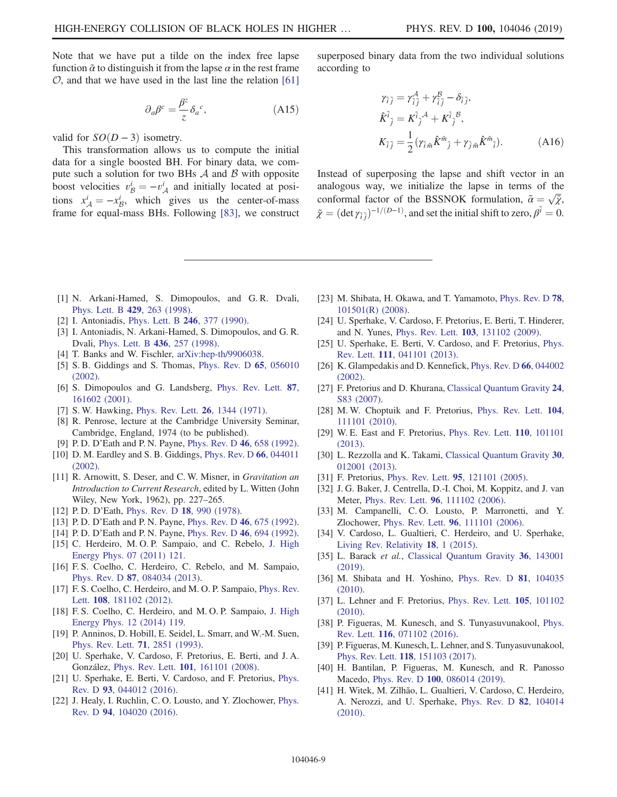Note that we have put a tilde on the index free lapse function  $\tilde{\alpha}$  to distinguish it from the lapse  $\alpha$  in the rest frame  $\mathcal{O}$ , and that we have used in the last line the relation [\[61\]](#page-9-7)

$$
\partial_a \beta^c = \frac{\beta^z}{z} \delta_a{}^c,\tag{A15}
$$

valid for  $SO(D-3)$  isometry.

This transformation allows us to compute the initial data for a single boosted BH. For binary data, we compute such a solution for two BHs  $\mathcal A$  and  $\mathcal B$  with opposite boost velocities  $v_B^i = -v_A^i$  and initially located at positions  $v_A^i = v_A^i$  which gives us the center of mess tions  $x_A^i = -x_B^i$ , which gives us the center-of-mass<br>frame for equal-mass BHs. Following [83], we construct frame for equal-mass BHs. Following [\[83\]](#page-9-23), we construct superposed binary data from the two individual solutions according to

$$
\gamma_{\tilde{i}\tilde{j}} = \gamma_{\tilde{i}\tilde{j}}^A + \gamma_{\tilde{i}\tilde{j}}^B - \delta_{\tilde{i}\tilde{j}},
$$
  
\n
$$
\hat{K}^{\tilde{i}}{}_{\tilde{j}} = K^{\tilde{i}}{}_{\tilde{j}}^A + K^{\tilde{i}}{}_{\tilde{j}}^B,
$$
  
\n
$$
K_{\tilde{i}\tilde{j}} = \frac{1}{2} (\gamma_{\tilde{i}\tilde{m}} \hat{K}^{\tilde{m}}{}_{\tilde{j}} + \gamma_{\tilde{j}\tilde{m}} \hat{K}^{\tilde{m}}{}_{\tilde{i}}).
$$
 (A16)

Instead of superposing the lapse and shift vector in an analogous way, we initialize the lapse in terms of the conformal factor of the BSSNOK formulation,  $\tilde{\alpha} = \sqrt{\tilde{\chi}}$ ,<br> $\tilde{\kappa} = (dx \mu)^{-1/(D-1)}$  and set the initial shift to zero,  $\theta^{\tilde{i}} = 0$ .  $\tilde{\chi} = (\det \gamma_{\tilde{i}\tilde{j}})^{-1/(D-1)}$ , and set the initial shift to zero,  $\beta^{\tilde{i}} = 0$ .

- <span id="page-8-0"></span>[1] N. Arkani-Hamed, S. Dimopoulos, and G. R. Dvali, [Phys. Lett. B](https://doi.org/10.1016/S0370-2693(98)00466-3) 429, 263 (1998).
- [2] I. Antoniadis, [Phys. Lett. B](https://doi.org/10.1016/0370-2693(90)90617-F) **246**, 377 (1990).
- [3] I. Antoniadis, N. Arkani-Hamed, S. Dimopoulos, and G. R. Dvali, [Phys. Lett. B](https://doi.org/10.1016/S0370-2693(98)00860-0) 436, 257 (1998).
- <span id="page-8-1"></span>[4] T. Banks and W. Fischler, [arXiv:hep-th/9906038.](https://arXiv.org/abs/hep-th/9906038)
- <span id="page-8-23"></span>[5] S. B. Giddings and S. Thomas, [Phys. Rev. D](https://doi.org/10.1103/PhysRevD.65.056010) 65, 056010 [\(2002\).](https://doi.org/10.1103/PhysRevD.65.056010)
- [6] S. Dimopoulos and G. Landsberg, [Phys. Rev. Lett.](https://doi.org/10.1103/PhysRevLett.87.161602) 87, [161602 \(2001\).](https://doi.org/10.1103/PhysRevLett.87.161602)
- <span id="page-8-3"></span><span id="page-8-2"></span>[7] S. W. Hawking, [Phys. Rev. Lett.](https://doi.org/10.1103/PhysRevLett.26.1344) 26, 1344 (1971).
- [8] R. Penrose, lecture at the Cambridge University Seminar, Cambridge, England, 1974 (to be published).
- <span id="page-8-7"></span><span id="page-8-4"></span>[9] P. D. D'Eath and P. N. Payne, [Phys. Rev. D](https://doi.org/10.1103/PhysRevD.46.658) 46, 658 (1992).
- [10] D. M. Eardley and S. B. Giddings, [Phys. Rev. D](https://doi.org/10.1103/PhysRevD.66.044011) 66, 044011 [\(2002\).](https://doi.org/10.1103/PhysRevD.66.044011)
- <span id="page-8-5"></span>[11] R. Arnowitt, S. Deser, and C. W. Misner, in Gravitation an Introduction to Current Research, edited by L. Witten (John Wiley, New York, 1962), pp. 227–265.
- <span id="page-8-21"></span>[12] P. D. D'Eath, [Phys. Rev. D](https://doi.org/10.1103/PhysRevD.18.990) 18, 990 (1978).
- [13] P. D. D'Eath and P. N. Payne, [Phys. Rev. D](https://doi.org/10.1103/PhysRevD.46.675) 46, 675 (1992).
- <span id="page-8-6"></span>[14] P. D. D'Eath and P. N. Payne, [Phys. Rev. D](https://doi.org/10.1103/PhysRevD.46.694) 46, 694 (1992).
- [15] C. Herdeiro, M.O.P. Sampaio, and C. Rebelo, [J. High](https://doi.org/10.1007/JHEP07(2011)121) [Energy Phys. 07 \(2011\) 121.](https://doi.org/10.1007/JHEP07(2011)121)
- [16] F. S. Coelho, C. Herdeiro, C. Rebelo, and M. Sampaio, Phys. Rev. D 87[, 084034 \(2013\)](https://doi.org/10.1103/PhysRevD.87.084034).
- <span id="page-8-20"></span>[17] F. S. Coelho, C. Herdeiro, and M. O. P. Sampaio, [Phys. Rev.](https://doi.org/10.1103/PhysRevLett.108.181102) Lett. 108[, 181102 \(2012\)](https://doi.org/10.1103/PhysRevLett.108.181102).
- <span id="page-8-22"></span>[18] F. S. Coelho, C. Herdeiro, and M. O. P. Sampaio, [J. High](https://doi.org/10.1007/JHEP12(2014)119) [Energy Phys. 12 \(2014\) 119.](https://doi.org/10.1007/JHEP12(2014)119)
- <span id="page-8-8"></span>[19] P. Anninos, D. Hobill, E. Seidel, L. Smarr, and W.-M. Suen, [Phys. Rev. Lett.](https://doi.org/10.1103/PhysRevLett.71.2851) 71, 2851 (1993).
- <span id="page-8-9"></span>[20] U. Sperhake, V. Cardoso, F. Pretorius, E. Berti, and J.A. González, Phys. Rev. Lett. 101[, 161101 \(2008\)](https://doi.org/10.1103/PhysRevLett.101.161101).
- <span id="page-8-10"></span>[21] U. Sperhake, E. Berti, V. Cardoso, and F. Pretorius, [Phys.](https://doi.org/10.1103/PhysRevD.93.044012) Rev. D 93[, 044012 \(2016\)](https://doi.org/10.1103/PhysRevD.93.044012).
- <span id="page-8-11"></span>[22] J. Healy, I. Ruchlin, C. O. Lousto, and Y. Zlochower, [Phys.](https://doi.org/10.1103/PhysRevD.94.104020) Rev. D 94[, 104020 \(2016\)](https://doi.org/10.1103/PhysRevD.94.104020).
- <span id="page-8-12"></span>[23] M. Shibata, H. Okawa, and T. Yamamoto, [Phys. Rev. D](https://doi.org/10.1103/PhysRevD.78.101501) 78, [101501\(R\) \(2008\)](https://doi.org/10.1103/PhysRevD.78.101501).
- [24] U. Sperhake, V. Cardoso, F. Pretorius, E. Berti, T. Hinderer, and N. Yunes, Phys. Rev. Lett. 103[, 131102 \(2009\)](https://doi.org/10.1103/PhysRevLett.103.131102).
- [25] U. Sperhake, E. Berti, V. Cardoso, and F. Pretorius, [Phys.](https://doi.org/10.1103/PhysRevLett.111.041101) Rev. Lett. 111[, 041101 \(2013\).](https://doi.org/10.1103/PhysRevLett.111.041101)
- <span id="page-8-13"></span>[26] K. Glampedakis and D. Kennefick, [Phys. Rev. D](https://doi.org/10.1103/PhysRevD.66.044002) 66, 044002 [\(2002\).](https://doi.org/10.1103/PhysRevD.66.044002)
- [27] F. Pretorius and D. Khurana, [Classical Quantum Gravity](https://doi.org/10.1088/0264-9381/24/12/S07) 24, [S83 \(2007\).](https://doi.org/10.1088/0264-9381/24/12/S07)
- <span id="page-8-14"></span>[28] M. W. Choptuik and F. Pretorius, [Phys. Rev. Lett.](https://doi.org/10.1103/PhysRevLett.104.111101) 104, [111101 \(2010\).](https://doi.org/10.1103/PhysRevLett.104.111101)
- [29] W. E. East and F. Pretorius, [Phys. Rev. Lett.](https://doi.org/10.1103/PhysRevLett.110.101101) 110, 101101 [\(2013\).](https://doi.org/10.1103/PhysRevLett.110.101101)
- [30] L. Rezzolla and K. Takami, [Classical Quantum Gravity](https://doi.org/10.1088/0264-9381/30/1/012001) 30, [012001 \(2013\).](https://doi.org/10.1088/0264-9381/30/1/012001)
- <span id="page-8-19"></span><span id="page-8-15"></span>[31] F. Pretorius, Phys. Rev. Lett. **95**[, 121101 \(2005\).](https://doi.org/10.1103/PhysRevLett.95.121101)
- [32] J. G. Baker, J. Centrella, D.-I. Choi, M. Koppitz, and J. van Meter, Phys. Rev. Lett. 96[, 111102 \(2006\).](https://doi.org/10.1103/PhysRevLett.96.111102)
- [33] M. Campanelli, C.O. Lousto, P. Marronetti, and Y. Zlochower, Phys. Rev. Lett. 96[, 111101 \(2006\)](https://doi.org/10.1103/PhysRevLett.96.111101).
- <span id="page-8-16"></span>[34] V. Cardoso, L. Gualtieri, C. Herdeiro, and U. Sperhake, [Living Rev. Relativity](https://doi.org/10.1007/lrr-2015-1) 18, 1 (2015).
- [35] L. Barack et al., [Classical Quantum Gravity](https://doi.org/10.1088/1361-6382/ab0587) 36, 143001 [\(2019\).](https://doi.org/10.1088/1361-6382/ab0587)
- <span id="page-8-17"></span>[36] M. Shibata and H. Yoshino, [Phys. Rev. D](https://doi.org/10.1103/PhysRevD.81.104035) 81, 104035 [\(2010\).](https://doi.org/10.1103/PhysRevD.81.104035)
- [37] L. Lehner and F. Pretorius, [Phys. Rev. Lett.](https://doi.org/10.1103/PhysRevLett.105.101102) **105**, 101102 [\(2010\).](https://doi.org/10.1103/PhysRevLett.105.101102)
- [38] P. Figueras, M. Kunesch, and S. Tunyasuvunakool, [Phys.](https://doi.org/10.1103/PhysRevLett.116.071102) Rev. Lett. 116[, 071102 \(2016\).](https://doi.org/10.1103/PhysRevLett.116.071102)
- [39] P. Figueras, M. Kunesch, L. Lehner, and S. Tunyasuvunakool, Phys. Rev. Lett. 118[, 151103 \(2017\).](https://doi.org/10.1103/PhysRevLett.118.151103)
- [40] H. Bantilan, P. Figueras, M. Kunesch, and R. Panosso Macedo, Phys. Rev. D 100[, 086014 \(2019\)](https://doi.org/10.1103/PhysRevD.100.086014).
- <span id="page-8-18"></span>[41] H. Witek, M. Zilhão, L. Gualtieri, V. Cardoso, C. Herdeiro, A. Nerozzi, and U. Sperhake, [Phys. Rev. D](https://doi.org/10.1103/PhysRevD.82.104014) 82, 104014 [\(2010\).](https://doi.org/10.1103/PhysRevD.82.104014)